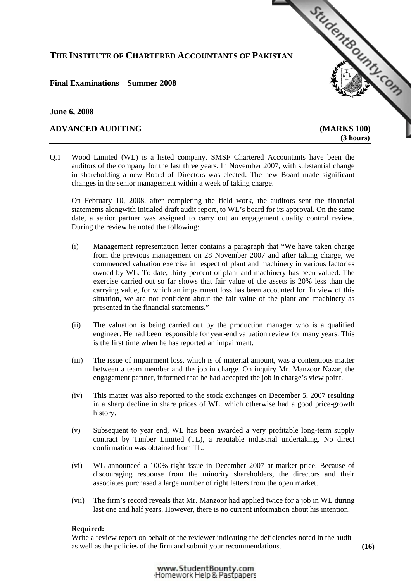# **THE INSTITUTE OF CHARTERED ACCOUNTANTS OF PAKISTAN**

# **Final Examinations Summer 2008**

### **June 6, 2008**

# **ADVANCED AUDITING [\(MARKS 100\)](http://www.studentbounty.com)**

 **(3 hours)** 

StudentBounds Com

Q.1 Wood Limited (WL) is a listed company. SMSF Chartered Accountants have been the auditors of the company for the last three years. In November 2007, with substantial change in shareholding a new Board of Directors was elected. The new Board made significant changes in the senior management within a week of taking charge.

On February 10, 2008, after completing the field work, the auditors sent the financial statements alongwith initialed draft audit report, to WL's board for its approval. On the same date, a senior partner was assigned to carry out an engagement quality control review. During the review he noted the following:

- (i) Management representation letter contains a paragraph that "We have taken charge from the previous management on 28 November 2007 and after taking charge, we commenced valuation exercise in respect of plant and machinery in various factories owned by WL. To date, thirty percent of plant and machinery has been valued. The exercise carried out so far shows that fair value of the assets is 20% less than the carrying value, for which an impairment loss has been accounted for. In view of this situation, we are not confident about the fair value of the plant and machinery as presented in the financial statements."
- (ii) The valuation is being carried out by the production manager who is a qualified engineer. He had been responsible for year-end valuation review for many years. This is the first time when he has reported an impairment.
- (iii) The issue of impairment loss, which is of material amount, was a contentious matter between a team member and the job in charge. On inquiry Mr. Manzoor Nazar, the engagement partner, informed that he had accepted the job in charge's view point.
- (iv) This matter was also reported to the stock exchanges on December 5, 2007 resulting in a sharp decline in share prices of WL, which otherwise had a good price-growth history.
- (v) Subsequent to year end, WL has been awarded a very profitable long-term supply contract by Timber Limited (TL), a reputable industrial undertaking. No direct confirmation was obtained from TL.
- (vi) WL announced a 100% right issue in December 2007 at market price. Because of discouraging response from the minority shareholders, the directors and their associates purchased a large number of right letters from the open market.
- (vii) The firm's record reveals that Mr. Manzoor had applied twice for a job in WL during last one and half years. However, there is no current information about his intention.

#### **Required:**

 Write a review report on behalf of the reviewer indicating the deficiencies noted in the audit as well as the policies of the firm and submit your recommendations. **(16)**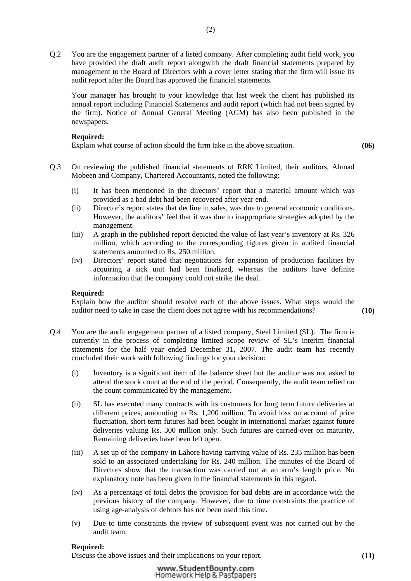Q.2 You are the engagement partner of a listed company. After completing audit field work, you have provided the draft audit report alongwith the draft financial statements prepared by management to the Board of Directors with a cover letter stating that the firm will issue its audit report after the Board has approved the financial statements.

Your manager has brought to your knowledge that last week the client has published its annual report including Financial Statements and audit report (which had not been signed by the firm). Notice of Annual General Meeting (AGM) has also been published in the newspapers.

### **Required:**

Explain what course of action should the firm take in the above situation. **(06)**

- Q.3 On reviewing the published financial statements of RRK Limited, their auditors, Ahmad Mobeen and Company, Chartered Accountants, noted the following:
	- (i) It has been mentioned in the directors' report that a material amount which was provided as a bad debt had been recovered after year end.
	- (ii) Director's report states that decline in sales, was due to general economic conditions. However, the auditors' feel that it was due to inappropriate strategies adopted by the management.
	- (iii) A graph in the published report depicted the value of last year's inventory at Rs. 326 million, which according to the corresponding figures given in audited financial statements amounted to Rs. 250 million.
	- (iv) Directors' report stated that negotiations for expansion of production facilities by acquiring a sick unit had been finalized, whereas the auditors have definite information that the company could not strike the deal.

## **Required:**

 Explain how the auditor should resolve each of the above issues. What steps would the auditor need to take in case the client does not agree with his recommendations? **(10)**

- Q.4 You are the audit engagement partner of a listed company, Steel Limited (SL). The firm is currently in the process of completing limited scope review of SL's interim financial statements for the half year ended December 31, 2007. The audit team has recently concluded their work with following findings for your decision:
	- (i) Inventory is a significant item of the balance sheet but the auditor was not asked to attend the stock count at the end of the period. Consequently, the audit team relied on the count communicated by the management.
	- (ii) SL has executed many contracts with its customers for long term future deliveries at different prices, amounting to Rs. 1,200 million. To avoid loss on account of price fluctuation, short term futures had been bought in international market against future deliveries valuing Rs. 300 million only. Such futures are carried-over on maturity. Remaining deliveries have been left open.
	- (iii) A set up of the company in Lahore having carrying value of Rs. 235 million has been sold to an associated undertaking for Rs. 240 million. The minutes of the Board of Directors show that the transaction was carried out at an arm's length price. No explanatory note has been given in the financial statements in this regard.
	- (iv) As a percentage of total debts the provision for bad debts are in accordance with the previous history of the company. However, due to time constraints the practice of using age-analysis of debtors has not been used this time.
	- (v) Due to time constraints the review of subsequent event was not carried out by the audit team.

## **Required:**

Discuss the above issues and their implications on your report. **(11)**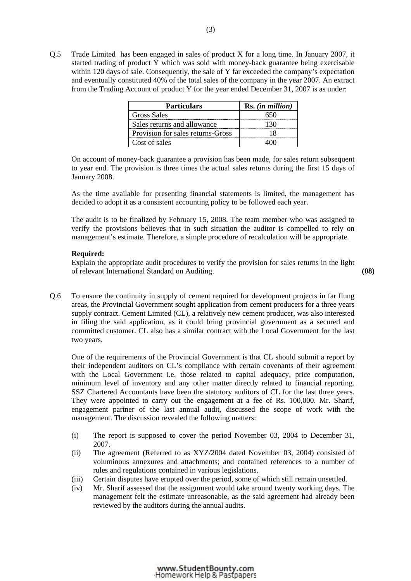Q.5 Trade Limited has been engaged in sales of product X for a long time. In January 2007, it started trading of product Y which was sold with money-back guarantee being exercisable within 120 days of sale. Consequently, the sale of Y far exceeded the company's expectation and eventually constituted 40% of the total sales of the company in the year 2007. An extract from the Trading Account of product Y for the year ended December 31, 2007 is as under:

| <b>Particulars</b>                | Rs. (in million) |
|-----------------------------------|------------------|
| <b>Gross Sales</b>                |                  |
| Sales returns and allowance       |                  |
| Provision for sales returns-Gross |                  |
| Cost of sales                     |                  |

 On account of money-back guarantee a provision has been made, for sales return subsequent to year end. The provision is three times the actual sales returns during the first 15 days of January 2008.

 As the time available for presenting financial statements is limited, the management has decided to adopt it as a consistent accounting policy to be followed each year.

The audit is to be finalized by February 15, 2008. The team member who was assigned to verify the provisions believes that in such situation the auditor is compelled to rely on management's estimate. Therefore, a simple procedure of recalculation will be appropriate.

#### **Required:**

 Explain the appropriate audit procedures to verify the provision for sales returns in the light of relevant International Standard on Auditing. **(08)**

Q.6 To ensure the continuity in supply of cement required for development projects in far flung areas, the Provincial Government sought application from cement producers for a three years supply contract. Cement Limited (CL), a relatively new cement producer, was also interested in filing the said application, as it could bring provincial government as a secured and committed customer. CL also has a similar contract with the Local Government for the last two years.

One of the requirements of the Provincial Government is that CL should submit a report by their independent auditors on CL's compliance with certain covenants of their agreement with the Local Government i.e. those related to capital adequacy, price computation, minimum level of inventory and any other matter directly related to financial reporting. SSZ Chartered Accountants have been the statutory auditors of CL for the last three years. They were appointed to carry out the engagement at a fee of Rs. 100,000. Mr. Sharif, engagement partner of the last annual audit, discussed the scope of work with the management. The discussion revealed the following matters:

- (i) The report is supposed to cover the period November 03, 2004 to December 31, 2007.
- (ii) The agreement (Referred to as XYZ/2004 dated November 03, 2004) consisted of voluminous annexures and attachments; and contained references to a number of rules and regulations contained in various legislations.
- (iii) Certain disputes have erupted over the period, some of which still remain unsettled.
- (iv) Mr. Sharif assessed that the assignment would take around twenty working days. The management felt the estimate unreasonable, as the said agreement had already been reviewed by the auditors during the annual audits.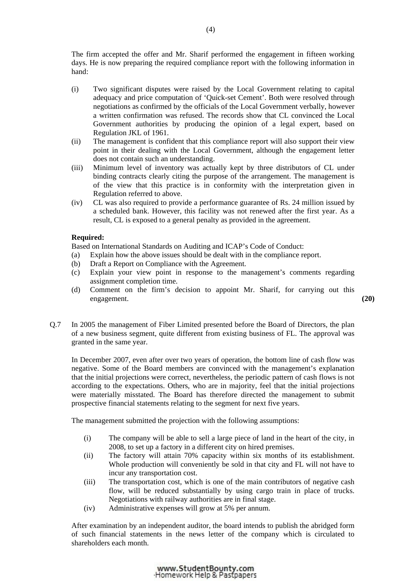The firm accepted the offer and Mr. Sharif performed the engagement in fifteen working days. He is now preparing the required compliance report with the following information in hand:

- (i) Two significant disputes were raised by the Local Government relating to capital adequacy and price computation of 'Quick-set Cement'. Both were resolved through negotiations as confirmed by the officials of the Local Government verbally, however a written confirmation was refused. The records show that CL convinced the Local Government authorities by producing the opinion of a legal expert, based on Regulation JKL of 1961.
- (ii) The management is confident that this compliance report will also support their view point in their dealing with the Local Government, although the engagement letter does not contain such an understanding.
- (iii) Minimum level of inventory was actually kept by three distributors of CL under binding contracts clearly citing the purpose of the arrangement. The management is of the view that this practice is in conformity with the interpretation given in Regulation referred to above.
- (iv) CL was also required to provide a performance guarantee of Rs. 24 million issued by a scheduled bank. However, this facility was not renewed after the first year. As a result, CL is exposed to a general penalty as provided in the agreement.

#### **Required:**

Based on International Standards on Auditing and ICAP's Code of Conduct:

- (a) Explain how the above issues should be dealt with in the compliance report.
- (b) Draft a Report on Compliance with the Agreement.
- (c) Explain your view point in response to the management's comments regarding assignment completion time.
- (d) Comment on the firm's decision to appoint Mr. Sharif, for carrying out this engagement. **(20)**
- Q.7 In 2005 the management of Fiber Limited presented before the Board of Directors, the plan of a new business segment, quite different from existing business of FL. The approval was granted in the same year.

In December 2007, even after over two years of operation, the bottom line of cash flow was negative. Some of the Board members are convinced with the management's explanation that the initial projections were correct, nevertheless, the periodic pattern of cash flows is not according to the expectations. Others, who are in majority, feel that the initial projections were materially misstated. The Board has therefore directed the management to submit prospective financial statements relating to the segment for next five years.

The management submitted the projection with the following assumptions:

- (i) The company will be able to sell a large piece of land in the heart of the city, in 2008, to set up a factory in a different city on hired premises.
- (ii) The factory will attain 70% capacity within six months of its establishment. Whole production will conveniently be sold in that city and FL will not have to incur any transportation cost.
- (iii) The transportation cost, which is one of the main contributors of negative cash flow, will be reduced substantially by using cargo train in place of trucks. Negotiations with railway authorities are in final stage.
- (iv) Administrative expenses will grow at 5% per annum.

After examination by an independent auditor, the board intends to publish the abridged form of such financial statements in the news letter of the company which is circulated to shareholders each month.

> www.StudentBounty.com Homework Help & Pastpapers